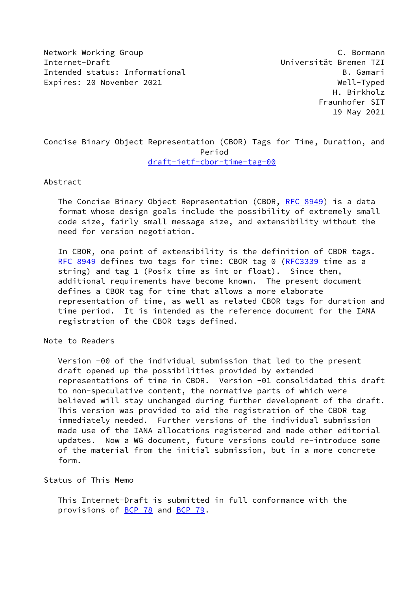Network Working Group C. Bormann Internet-Draft Universität Bremen TZI Intended status: Informational and B. Gamari Expires: 20 November 2021 Well-Typed

# Concise Binary Object Representation (CBOR) Tags for Time, Duration, and Period [draft-ietf-cbor-time-tag-00](https://datatracker.ietf.org/doc/pdf/draft-ietf-cbor-time-tag-00)

#### Abstract

 The Concise Binary Object Representation (CBOR, [RFC 8949](https://datatracker.ietf.org/doc/pdf/rfc8949)) is a data format whose design goals include the possibility of extremely small code size, fairly small message size, and extensibility without the need for version negotiation.

 In CBOR, one point of extensibility is the definition of CBOR tags. [RFC 8949](https://datatracker.ietf.org/doc/pdf/rfc8949) defines two tags for time: CBOR tag 0 [\(RFC3339](https://datatracker.ietf.org/doc/pdf/rfc3339) time as a string) and tag 1 (Posix time as int or float). Since then, additional requirements have become known. The present document defines a CBOR tag for time that allows a more elaborate representation of time, as well as related CBOR tags for duration and time period. It is intended as the reference document for the IANA registration of the CBOR tags defined.

### Note to Readers

 Version -00 of the individual submission that led to the present draft opened up the possibilities provided by extended representations of time in CBOR. Version -01 consolidated this draft to non-speculative content, the normative parts of which were believed will stay unchanged during further development of the draft. This version was provided to aid the registration of the CBOR tag immediately needed. Further versions of the individual submission made use of the IANA allocations registered and made other editorial updates. Now a WG document, future versions could re-introduce some of the material from the initial submission, but in a more concrete form.

#### Status of This Memo

 This Internet-Draft is submitted in full conformance with the provisions of [BCP 78](https://datatracker.ietf.org/doc/pdf/bcp78) and [BCP 79](https://datatracker.ietf.org/doc/pdf/bcp79).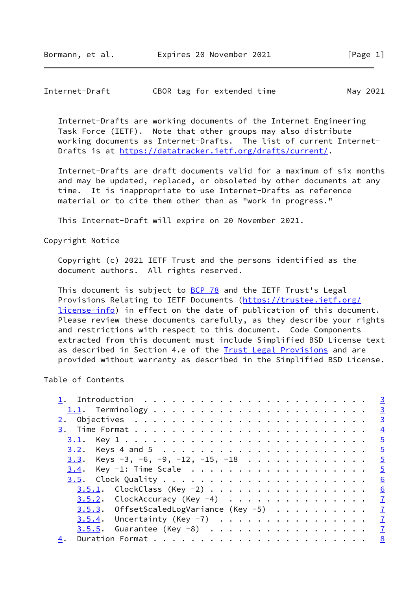| CBOR tag for extended time<br>Internet-Draft | May 2021 |  |  |  |  |  |
|----------------------------------------------|----------|--|--|--|--|--|
|----------------------------------------------|----------|--|--|--|--|--|

 Internet-Drafts are working documents of the Internet Engineering Task Force (IETF). Note that other groups may also distribute working documents as Internet-Drafts. The list of current Internet- Drafts is at<https://datatracker.ietf.org/drafts/current/>.

 Internet-Drafts are draft documents valid for a maximum of six months and may be updated, replaced, or obsoleted by other documents at any time. It is inappropriate to use Internet-Drafts as reference material or to cite them other than as "work in progress."

This Internet-Draft will expire on 20 November 2021.

Copyright Notice

 Copyright (c) 2021 IETF Trust and the persons identified as the document authors. All rights reserved.

This document is subject to **[BCP 78](https://datatracker.ietf.org/doc/pdf/bcp78)** and the IETF Trust's Legal Provisions Relating to IETF Documents ([https://trustee.ietf.org/](https://trustee.ietf.org/license-info) [license-info](https://trustee.ietf.org/license-info)) in effect on the date of publication of this document. Please review these documents carefully, as they describe your rights and restrictions with respect to this document. Code Components extracted from this document must include Simplified BSD License text as described in Section 4.e of the **[Trust Legal Provisions](https://trustee.ietf.org/license-info)** and are provided without warranty as described in the Simplified BSD License.

### Table of Contents

|                                               | $\overline{3}$ |
|-----------------------------------------------|----------------|
|                                               |                |
|                                               |                |
|                                               | $\frac{4}{3}$  |
|                                               |                |
|                                               |                |
| <u>3.3</u> . Keys -3, -6, -9, -12, -15, -18 5 |                |
| $3.4$ . Key -1: Time Scale                    | $\overline{5}$ |
|                                               | 6              |
| <u>3.5.1</u> . ClockClass (Key -2)            | 6              |
| $3.5.2$ . ClockAccuracy (Key -4) 7            |                |
| 3.5.3. OffsetScaledLogVariance (Key -5) 7     |                |
| $3.5.4$ . Uncertainty (Key -7) 7              |                |
| $3.5.5.$ Guarantee (Key -8) $\frac{7}{4}$     |                |
| 4.                                            |                |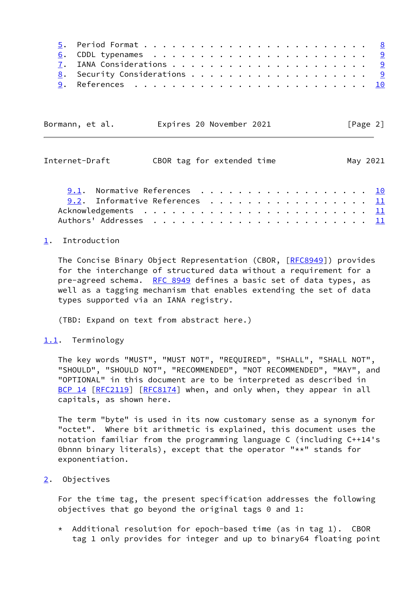| Bormann, et al. |  | Expires 20 November 2021 | [Page 2] |  |
|-----------------|--|--------------------------|----------|--|
|                 |  |                          |          |  |

<span id="page-2-1"></span>

| Internet-Draft                 | CBOR tag for extended time |  | May 2021 |
|--------------------------------|----------------------------|--|----------|
| 9.1. Normative References 10   |                            |  |          |
| 9.2. Informative References 11 |                            |  |          |
|                                |                            |  |          |
|                                |                            |  |          |

### <span id="page-2-0"></span>[1](#page-2-0). Introduction

 The Concise Binary Object Representation (CBOR, [\[RFC8949](https://datatracker.ietf.org/doc/pdf/rfc8949)]) provides for the interchange of structured data without a requirement for a pre-agreed schema. [RFC 8949](https://datatracker.ietf.org/doc/pdf/rfc8949) defines a basic set of data types, as well as a tagging mechanism that enables extending the set of data types supported via an IANA registry.

(TBD: Expand on text from abstract here.)

#### <span id="page-2-2"></span>[1.1](#page-2-2). Terminology

 The key words "MUST", "MUST NOT", "REQUIRED", "SHALL", "SHALL NOT", "SHOULD", "SHOULD NOT", "RECOMMENDED", "NOT RECOMMENDED", "MAY", and "OPTIONAL" in this document are to be interpreted as described in [BCP 14](https://datatracker.ietf.org/doc/pdf/bcp14) [\[RFC2119](https://datatracker.ietf.org/doc/pdf/rfc2119)] [\[RFC8174](https://datatracker.ietf.org/doc/pdf/rfc8174)] when, and only when, they appear in all capitals, as shown here.

 The term "byte" is used in its now customary sense as a synonym for "octet". Where bit arithmetic is explained, this document uses the notation familiar from the programming language C (including C++14's 0bnnn binary literals), except that the operator "\*\*" stands for exponentiation.

#### <span id="page-2-3"></span>[2](#page-2-3). Objectives

 For the time tag, the present specification addresses the following objectives that go beyond the original tags 0 and 1:

 $*$  Additional resolution for epoch-based time (as in tag 1). CBOR tag 1 only provides for integer and up to binary64 floating point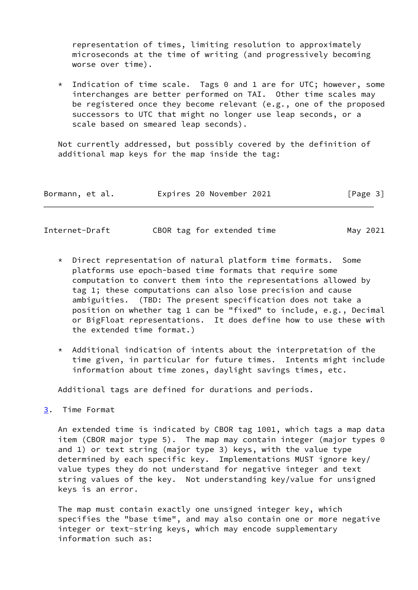representation of times, limiting resolution to approximately microseconds at the time of writing (and progressively becoming worse over time).

 \* Indication of time scale. Tags 0 and 1 are for UTC; however, some interchanges are better performed on TAI. Other time scales may be registered once they become relevant (e.g., one of the proposed successors to UTC that might no longer use leap seconds, or a scale based on smeared leap seconds).

 Not currently addressed, but possibly covered by the definition of additional map keys for the map inside the tag:

| Bormann, et al. | Expires 20 November 2021 | [Page 3] |
|-----------------|--------------------------|----------|
|-----------------|--------------------------|----------|

<span id="page-3-1"></span>

| Internet-Draft |  | CBOR tag for extended time |  | May 2021 |
|----------------|--|----------------------------|--|----------|
|                |  |                            |  |          |

- \* Direct representation of natural platform time formats. Some platforms use epoch-based time formats that require some computation to convert them into the representations allowed by tag 1; these computations can also lose precision and cause ambiguities. (TBD: The present specification does not take a position on whether tag 1 can be "fixed" to include, e.g., Decimal or BigFloat representations. It does define how to use these with the extended time format.)
- \* Additional indication of intents about the interpretation of the time given, in particular for future times. Intents might include information about time zones, daylight savings times, etc.

Additional tags are defined for durations and periods.

<span id="page-3-0"></span>[3](#page-3-0). Time Format

 An extended time is indicated by CBOR tag 1001, which tags a map data item (CBOR major type 5). The map may contain integer (major types 0 and 1) or text string (major type 3) keys, with the value type determined by each specific key. Implementations MUST ignore key/ value types they do not understand for negative integer and text string values of the key. Not understanding key/value for unsigned keys is an error.

 The map must contain exactly one unsigned integer key, which specifies the "base time", and may also contain one or more negative integer or text-string keys, which may encode supplementary information such as: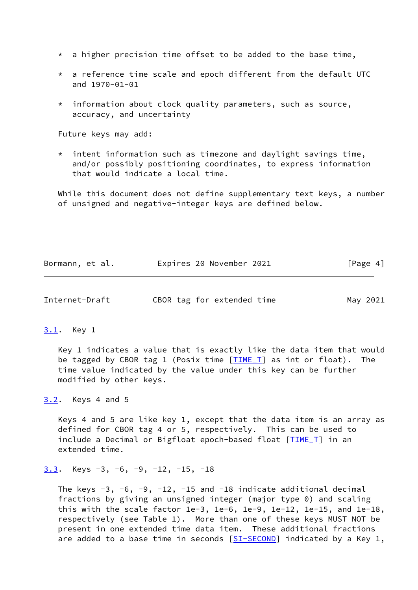- $*$  a higher precision time offset to be added to the base time,
- $*$  a reference time scale and epoch different from the default UTC and 1970-01-01
- information about clock quality parameters, such as source, accuracy, and uncertainty

Future keys may add:

 $*$  intent information such as timezone and daylight savings time, and/or possibly positioning coordinates, to express information that would indicate a local time.

 While this document does not define supplementary text keys, a number of unsigned and negative-integer keys are defined below.

| Bormann, et al. | Expires 20 November 2021 | [Page 4] |
|-----------------|--------------------------|----------|
|-----------------|--------------------------|----------|

<span id="page-4-1"></span>

|  | Internet-Draft | CBOR tag for extended time | May 2021 |
|--|----------------|----------------------------|----------|
|--|----------------|----------------------------|----------|

#### <span id="page-4-0"></span>[3.1](#page-4-0). Key 1

 Key 1 indicates a value that is exactly like the data item that would be tagged by CBOR tag 1 (Posix time  $[TIME I]$  as int or float). The time value indicated by the value under this key can be further modified by other keys.

<span id="page-4-2"></span>[3.2](#page-4-2). Keys 4 and 5

 Keys 4 and 5 are like key 1, except that the data item is an array as defined for CBOR tag 4 or 5, respectively. This can be used to include a Decimal or Bigfloat epoch-based float [TIME T] in an extended time.

```
3.3. Keys -3, -6, -9, -12, -15, -18
```
The keys  $-3$ ,  $-6$ ,  $-9$ ,  $-12$ ,  $-15$  and  $-18$  indicate additional decimal fractions by giving an unsigned integer (major type 0) and scaling this with the scale factor 1e-3, 1e-6, 1e-9, 1e-12, 1e-15, and 1e-18, respectively (see Table 1). More than one of these keys MUST NOT be present in one extended time data item. These additional fractions are added to a base time in seconds  $[ST-SECOND]$  indicated by a Key 1,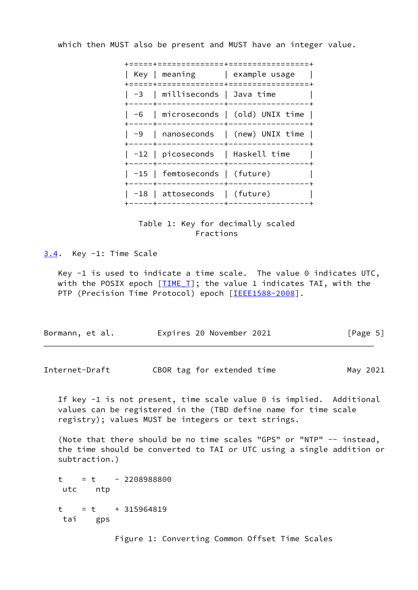which then MUST also be present and MUST have an integer value.

|  | =============+=======                               |                                      |
|--|-----------------------------------------------------|--------------------------------------|
|  | -------+-------                                     | Key   meaning   example usage        |
|  | -3   milliseconds   Java time                       | +--------------+-----------------    |
|  |                                                     | -6   microseconds   (old) UNIX time  |
|  |                                                     | $-9$   nanoseconds   (new) UNIX time |
|  | -12   picoseconds   Haskell time<br>--------+------ |                                      |
|  | -15   femtoseconds   (future)                       |                                      |
|  | $\vert$ -18 $\vert$ attoseconds $\vert$ (future)    |                                      |
|  |                                                     |                                      |



<span id="page-5-0"></span>[3.4](#page-5-0). Key -1: Time Scale

Key  $-1$  is used to indicate a time scale. The value 0 indicates UTC, with the POSIX epoch  $[TIME_T]$  $[TIME_T]$ ; the value 1 indicates TAI, with the PTP (Precision Time Protocol) epoch [\[IEEE1588-2008](#page-10-3)].

| Bormann, et al. | Expires 20 November 2021 | [Page 5] |
|-----------------|--------------------------|----------|
|-----------------|--------------------------|----------|

<span id="page-5-1"></span>Internet-Draft CBOR tag for extended time May 2021

 If key -1 is not present, time scale value 0 is implied. Additional values can be registered in the (TBD define name for time scale registry); values MUST be integers or text strings.

 (Note that there should be no time scales "GPS" or "NTP" -- instead, the time should be converted to TAI or UTC using a single addition or subtraction.)

 $t = t - 2208988800$  utc ntp  $t = t + 315964819$ tai gps

Figure 1: Converting Common Offset Time Scales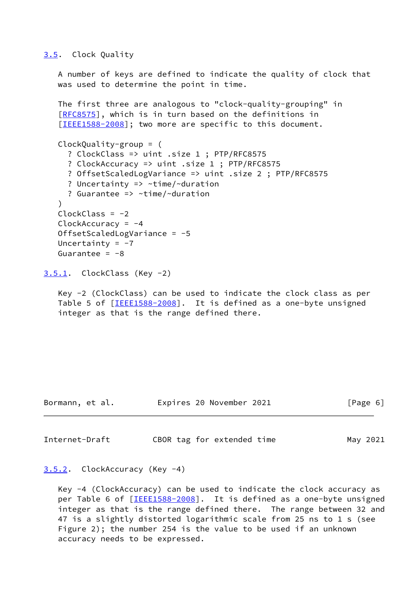#### <span id="page-6-0"></span>[3.5](#page-6-0). Clock Quality

 A number of keys are defined to indicate the quality of clock that was used to determine the point in time.

 The first three are analogous to "clock-quality-grouping" in [\[RFC8575](https://datatracker.ietf.org/doc/pdf/rfc8575)], which is in turn based on the definitions in [\[IEEE1588-2008](#page-10-3)]; two more are specific to this document.

```
 ClockQuality-group = (
   ? ClockClass => uint .size 1 ; PTP/RFC8575
   ? ClockAccuracy => uint .size 1 ; PTP/RFC8575
   ? OffsetScaledLogVariance => uint .size 2 ; PTP/RFC8575
   ? Uncertainty => ~time/~duration
   ? Guarantee => ~time/~duration
 )
ClockClass = -2 ClockAccuracy = -4
 OffsetScaledLogVariance = -5
Uncertainty = -7Guarantee = -8
```

```
3.5.1. ClockClass (Key -2)
```
 Key -2 (ClockClass) can be used to indicate the clock class as per Table 5 of [[IEEE1588-2008\]](#page-10-3). It is defined as a one-byte unsigned integer as that is the range defined there.

| Bormann, et al. | Expires 20 November 2021 | [Page 6] |
|-----------------|--------------------------|----------|
|                 |                          |          |

<span id="page-6-3"></span>Internet-Draft CBOR tag for extended time May 2021

## <span id="page-6-2"></span>[3.5.2](#page-6-2). ClockAccuracy (Key -4)

 Key -4 (ClockAccuracy) can be used to indicate the clock accuracy as per Table 6 of [\[IEEE1588-2008](#page-10-3)]. It is defined as a one-byte unsigned integer as that is the range defined there. The range between 32 and 47 is a slightly distorted logarithmic scale from 25 ns to 1 s (see Figure 2); the number 254 is the value to be used if an unknown accuracy needs to be expressed.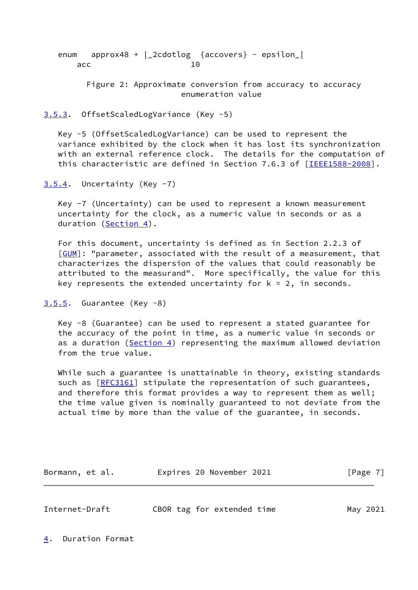enum approx48 + |\_2cdotlog {accovers} - epsilon\_| acc and 10

> Figure 2: Approximate conversion from accuracy to accuracy enumeration value

#### <span id="page-7-0"></span>[3.5.3](#page-7-0). OffsetScaledLogVariance (Key -5)

 Key -5 (OffsetScaledLogVariance) can be used to represent the variance exhibited by the clock when it has lost its synchronization with an external reference clock. The details for the computation of this characteristic are defined in Section 7.6.3 of [\[IEEE1588-2008](#page-10-3)].

<span id="page-7-1"></span> $3.5.4$ . Uncertainty (Key  $-7$ )

 Key -7 (Uncertainty) can be used to represent a known measurement uncertainty for the clock, as a numeric value in seconds or as a duration [\(Section 4\)](#page-7-3).

 For this document, uncertainty is defined as in Section 2.2.3 of [\[GUM](#page-10-4)]: "parameter, associated with the result of a measurement, that characterizes the dispersion of the values that could reasonably be attributed to the measurand". More specifically, the value for this key represents the extended uncertainty for  $k = 2$ , in seconds.

```
3.5.5. Guarantee (Key -8)
```
 Key -8 (Guarantee) can be used to represent a stated guarantee for the accuracy of the point in time, as a numeric value in seconds or as a duration ([Section 4\)](#page-7-3) representing the maximum allowed deviation from the true value.

 While such a guarantee is unattainable in theory, existing standards such as [\[RFC3161](https://datatracker.ietf.org/doc/pdf/rfc3161)] stipulate the representation of such guarantees, and therefore this format provides a way to represent them as well; the time value given is nominally guaranteed to not deviate from the actual time by more than the value of the guarantee, in seconds.

Bormann, et al. **Expires 20 November 2021** [Page 7]

<span id="page-7-4"></span>Internet-Draft CBOR tag for extended time May 2021

<span id="page-7-3"></span>[4](#page-7-3). Duration Format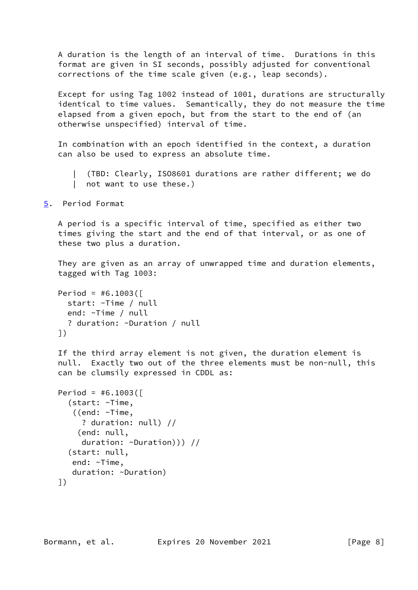A duration is the length of an interval of time. Durations in this format are given in SI seconds, possibly adjusted for conventional corrections of the time scale given (e.g., leap seconds).

 Except for using Tag 1002 instead of 1001, durations are structurally identical to time values. Semantically, they do not measure the time elapsed from a given epoch, but from the start to the end of (an otherwise unspecified) interval of time.

 In combination with an epoch identified in the context, a duration can also be used to express an absolute time.

 | (TBD: Clearly, ISO8601 durations are rather different; we do | not want to use these.)

<span id="page-8-0"></span>[5](#page-8-0). Period Format

 A period is a specific interval of time, specified as either two times giving the start and the end of that interval, or as one of these two plus a duration.

 They are given as an array of unwrapped time and duration elements, tagged with Tag 1003:

```
Period = #6.1003( start: ~Time / null
   end: ~Time / null
   ? duration: ~Duration / null
 ])
```
 If the third array element is not given, the duration element is null. Exactly two out of the three elements must be non-null, this can be clumsily expressed in CDDL as:

```
Period = #6.1003( (start: ~Time,
    ((end: ~Time,
      ? duration: null) //
     (end: null,
      duration: ~Duration))) //
   (start: null,
    end: ~Time,
    duration: ~Duration)
 ])
```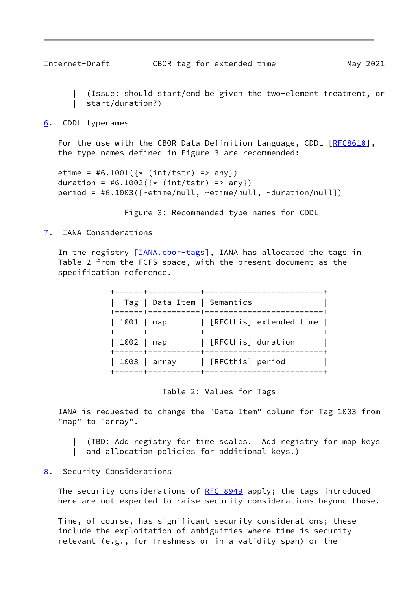<span id="page-9-1"></span> | (Issue: should start/end be given the two-element treatment, or | start/duration?)

#### <span id="page-9-0"></span>[6](#page-9-0). CDDL typenames

For the use with the CBOR Data Definition Language, CDDL [\[RFC8610](https://datatracker.ietf.org/doc/pdf/rfc8610)], the type names defined in Figure 3 are recommended:

```
etime = #6.1001(\{*(int/tstr) \implies any\})duration = #6.1002(\{*(int/tstr) \Rightarrow any\}) period = #6.1003([~etime/null, ~etime/null, ~duration/null])
```
Figure 3: Recommended type names for CDDL

### <span id="page-9-2"></span>[7](#page-9-2). IANA Considerations

In the registry [*IANA.cbor-tags*], IANA has allocated the tags in Table 2 from the FCFS space, with the present document as the specification reference.

|                                                        | Tag   Data Item   Semantics |                         |
|--------------------------------------------------------|-----------------------------|-------------------------|
| 1001   map                                             |                             | [RFCthis] extended time |
| +------+---<br>  1002   map<br>$+ - - - - - + - - - -$ |                             | [RFCthis] duration      |
|                                                        | 1003   array                | [RFCthis] period        |
|                                                        |                             |                         |

Table 2: Values for Tags

 IANA is requested to change the "Data Item" column for Tag 1003 from "map" to "array".

| (TBD: Add registry for time scales. Add registry for map keys

| and allocation policies for additional keys.)

### <span id="page-9-3"></span>[8](#page-9-3). Security Considerations

The security considerations of [RFC 8949](https://datatracker.ietf.org/doc/pdf/rfc8949) apply; the tags introduced here are not expected to raise security considerations beyond those.

 Time, of course, has significant security considerations; these include the exploitation of ambiguities where time is security relevant (e.g., for freshness or in a validity span) or the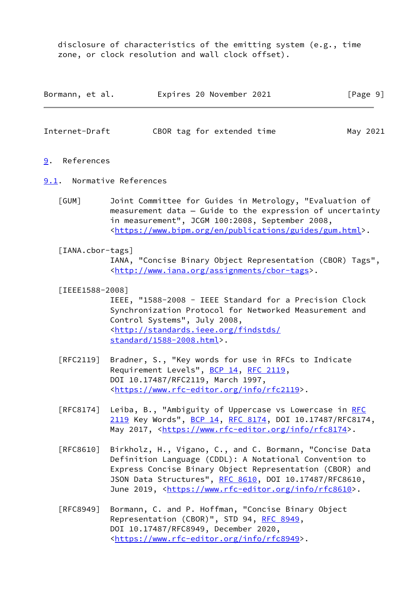disclosure of characteristics of the emitting system (e.g., time zone, or clock resolution and wall clock offset).

| Bormann, et al. | Expires 20 November 2021 | [Page 9] |
|-----------------|--------------------------|----------|
|-----------------|--------------------------|----------|

<span id="page-10-1"></span>

| Internet-Draft |  | CBOR tag for extended time |  | May 2021 |
|----------------|--|----------------------------|--|----------|
|                |  |                            |  |          |

- <span id="page-10-0"></span>[9](#page-10-0). References
- <span id="page-10-4"></span><span id="page-10-2"></span>[9.1](#page-10-2). Normative References
	- [GUM] Joint Committee for Guides in Metrology, "Evaluation of measurement data — Guide to the expression of uncertainty in measurement", JCGM 100:2008, September 2008, <[https://www.bipm.org/en/publications/guides/gum.html>](https://www.bipm.org/en/publications/guides/gum.html).
	- [IANA.cbor-tags] IANA, "Concise Binary Object Representation (CBOR) Tags", <[http://www.iana.org/assignments/cbor-tags>](http://www.iana.org/assignments/cbor-tags).
	- [IEEE1588-2008]

<span id="page-10-5"></span><span id="page-10-3"></span> IEEE, "1588-2008 - IEEE Standard for a Precision Clock Synchronization Protocol for Networked Measurement and Control Systems", July 2008, <[http://standards.ieee.org/findstds/](http://standards.ieee.org/findstds/standard/1588-2008.html) [standard/1588-2008.html](http://standards.ieee.org/findstds/standard/1588-2008.html)>.

- [RFC2119] Bradner, S., "Key words for use in RFCs to Indicate Requirement Levels", [BCP 14](https://datatracker.ietf.org/doc/pdf/bcp14), [RFC 2119](https://datatracker.ietf.org/doc/pdf/rfc2119), DOI 10.17487/RFC2119, March 1997, <[https://www.rfc-editor.org/info/rfc2119>](https://www.rfc-editor.org/info/rfc2119).
- [RFC8174] Leiba, B., "Ambiguity of Uppercase vs Lowercase in [RFC](https://datatracker.ietf.org/doc/pdf/rfc2119) [2119](https://datatracker.ietf.org/doc/pdf/rfc2119) Key Words", [BCP 14](https://datatracker.ietf.org/doc/pdf/bcp14), [RFC 8174,](https://datatracker.ietf.org/doc/pdf/rfc8174) DOI 10.17487/RFC8174, May 2017, [<https://www.rfc-editor.org/info/rfc8174](https://www.rfc-editor.org/info/rfc8174)>.
- [RFC8610] Birkholz, H., Vigano, C., and C. Bormann, "Concise Data Definition Language (CDDL): A Notational Convention to Express Concise Binary Object Representation (CBOR) and JSON Data Structures", [RFC 8610](https://datatracker.ietf.org/doc/pdf/rfc8610), DOI 10.17487/RFC8610, June 2019, <<https://www.rfc-editor.org/info/rfc8610>>.
- [RFC8949] Bormann, C. and P. Hoffman, "Concise Binary Object Representation (CBOR)", STD 94, [RFC 8949,](https://datatracker.ietf.org/doc/pdf/rfc8949) DOI 10.17487/RFC8949, December 2020, <[https://www.rfc-editor.org/info/rfc8949>](https://www.rfc-editor.org/info/rfc8949).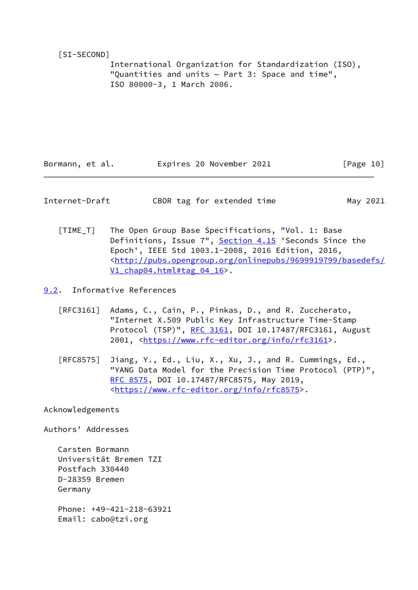### <span id="page-11-3"></span>[SI-SECOND]

 International Organization for Standardization (ISO), "Quantities and units — Part 3: Space and time", ISO 80000-3, 1 March 2006.

Bormann, et al. **Expires 20 November 2021** [Page 10]

<span id="page-11-1"></span>Internet-Draft CBOR tag for extended time May 2021

<span id="page-11-2"></span> [TIME\_T] The Open Group Base Specifications, "Vol. 1: Base Definitions, Issue 7", Section 4.15 'Seconds Since the Epoch', IEEE Std 1003.1-2008, 2016 Edition, 2016, <[http://pubs.opengroup.org/onlinepubs/9699919799/basedefs/](http://pubs.opengroup.org/onlinepubs/9699919799/basedefs/V1_chap04.html#tag_04_16) V1 chap04.html#tag 04 16>.

<span id="page-11-0"></span>[9.2](#page-11-0). Informative References

- [RFC3161] Adams, C., Cain, P., Pinkas, D., and R. Zuccherato, "Internet X.509 Public Key Infrastructure Time-Stamp Protocol (TSP)", [RFC 3161,](https://datatracker.ietf.org/doc/pdf/rfc3161) DOI 10.17487/RFC3161, August 2001, [<https://www.rfc-editor.org/info/rfc3161](https://www.rfc-editor.org/info/rfc3161)>.
- [RFC8575] Jiang, Y., Ed., Liu, X., Xu, J., and R. Cummings, Ed., "YANG Data Model for the Precision Time Protocol (PTP)", [RFC 8575,](https://datatracker.ietf.org/doc/pdf/rfc8575) DOI 10.17487/RFC8575, May 2019, <[https://www.rfc-editor.org/info/rfc8575>](https://www.rfc-editor.org/info/rfc8575).

Acknowledgements

Authors' Addresses

 Carsten Bormann Universität Bremen TZI Postfach 330440 D-28359 Bremen Germany Phone: +49-421-218-63921

Email: cabo@tzi.org